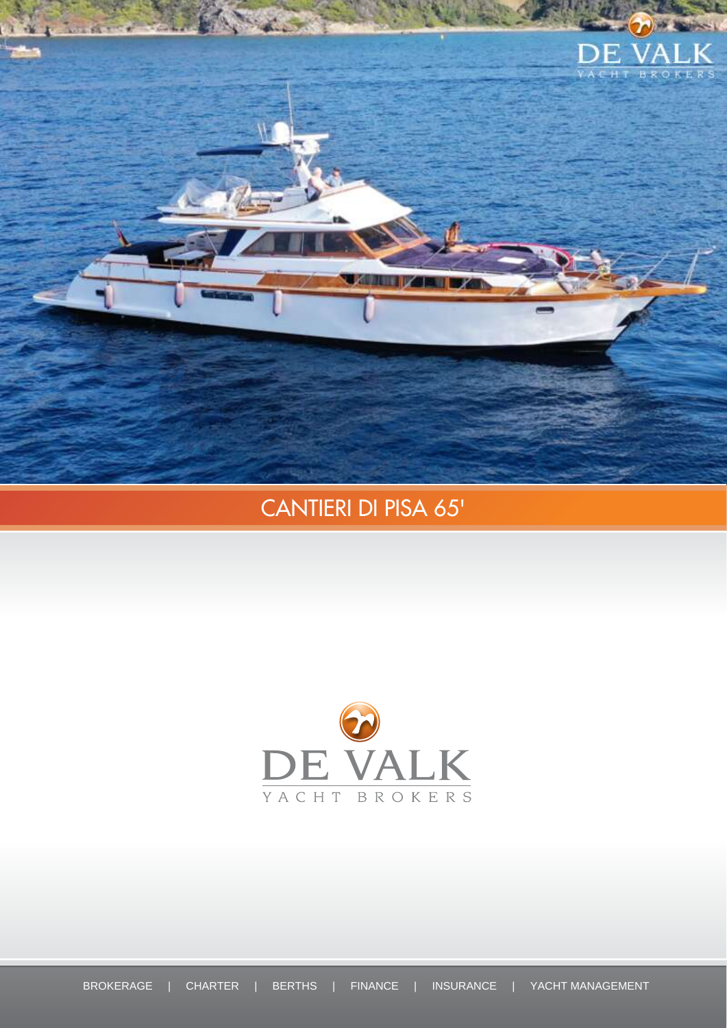

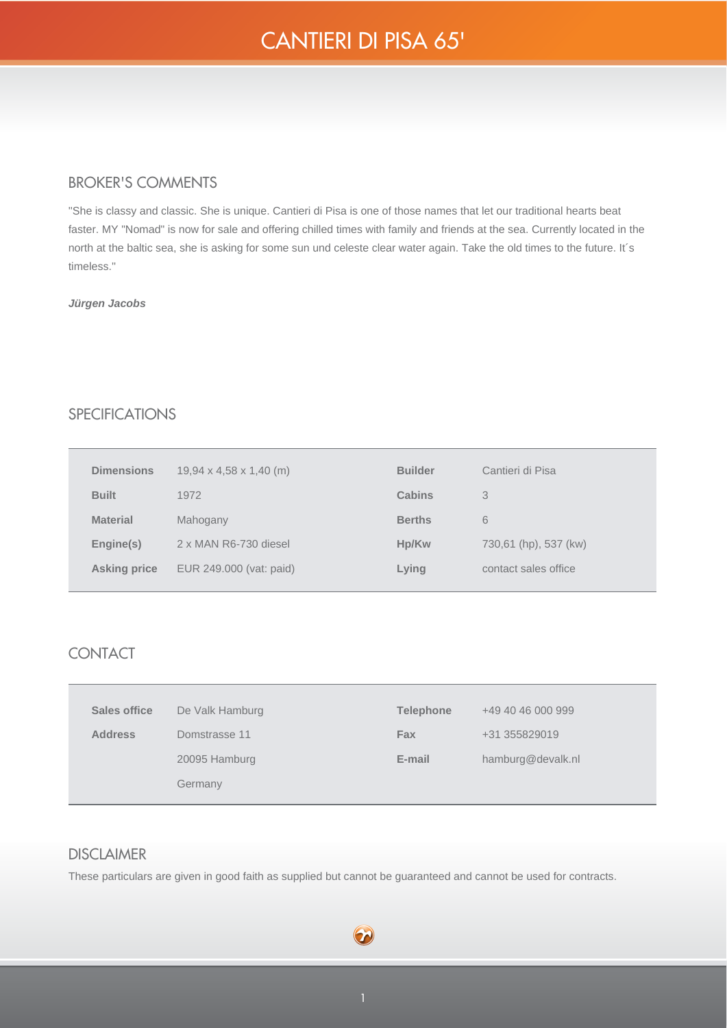### **BROKER'S COMMENTS**

''She is classy and classic. She is unique. Cantieri di Pisa is one of those names that let our traditional hearts beat faster. MY "Nomad" is now for sale and offering chilled times with family and friends at the sea. Currently located in the north at the baltic sea, she is asking for some sun und celeste clear water again. Take the old times to the future. It´s timeless.''

#### **Jürgen Jacobs**

### **SPECIFICATIONS**

| <b>Dimensions</b>   | $19.94 \times 4.58 \times 1.40$ (m) | <b>Builder</b> | Cantieri di Pisa      |
|---------------------|-------------------------------------|----------------|-----------------------|
| <b>Built</b>        | 1972                                | Cabins         | 3                     |
| <b>Material</b>     | Mahogany                            | <b>Berths</b>  | 6                     |
| Engine(s)           | 2 x MAN R6-730 diesel               | Hp/Kw          | 730,61 (hp), 537 (kw) |
| <b>Asking price</b> | EUR 249.000 (vat: paid)             | Lying          | contact sales office  |
|                     |                                     |                |                       |

### **CONTACT**

| <b>Sales office</b> | De Valk Hamburg | <b>Telephone</b> | +49 40 46 000 999 |
|---------------------|-----------------|------------------|-------------------|
| <b>Address</b>      | Domstrasse 11   | <b>Fax</b>       | +31 355829019     |
|                     | 20095 Hamburg   | E-mail           | hamburg@devalk.nl |
|                     | Germany         |                  |                   |

### **DISCLAIMER**

These particulars are given in good faith as supplied but cannot be guaranteed and cannot be used for contracts.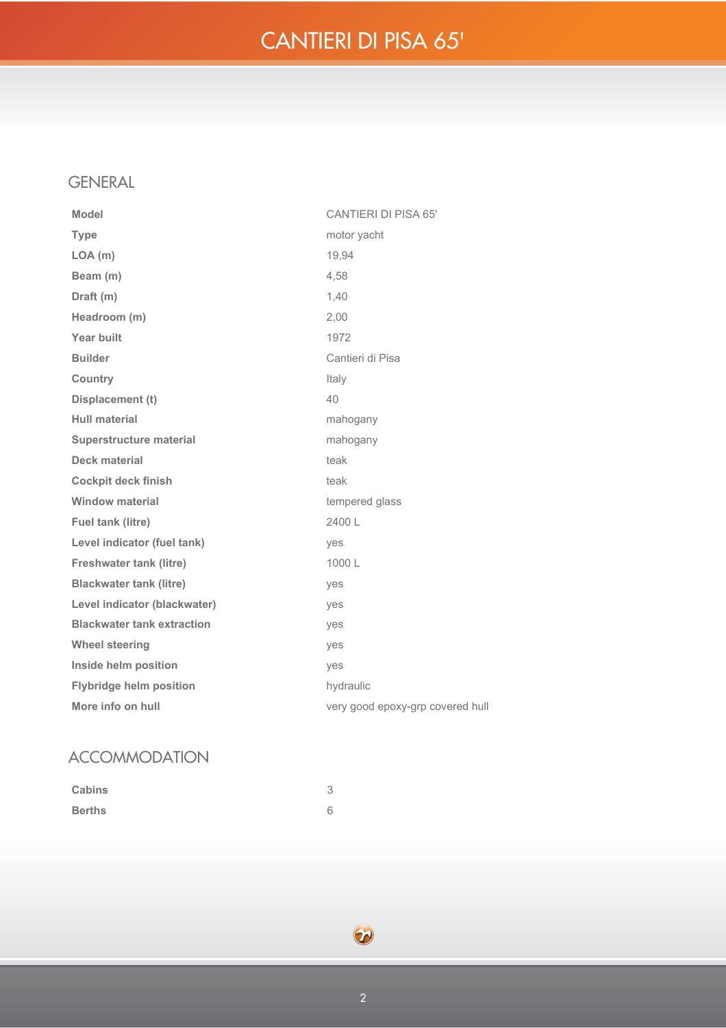### **GENERAL**

| <b>Model</b>                      | <b>CANTIERI DI PISA 65'</b>      |
|-----------------------------------|----------------------------------|
| <b>Type</b>                       | motor yacht                      |
| LOA(m)                            | 19,94                            |
| Beam (m)                          | 4,58                             |
| Draft (m)                         | 1.40                             |
| Headroom (m)                      | 2,00                             |
| Year built                        | 1972                             |
| <b>Builder</b>                    | Cantieri di Pisa                 |
| Country                           | Italy                            |
| Displacement (t)                  | 40                               |
| <b>Hull material</b>              | mahogany                         |
| <b>Superstructure material</b>    | mahogany                         |
| <b>Deck material</b>              | teak                             |
| <b>Cockpit deck finish</b>        | teak                             |
| <b>Window material</b>            | tempered glass                   |
| Fuel tank (litre)                 | 2400L                            |
| Level indicator (fuel tank)       | yes                              |
| <b>Freshwater tank (litre)</b>    | 1000L                            |
| <b>Blackwater tank (litre)</b>    | yes                              |
| Level indicator (blackwater)      | yes                              |
| <b>Blackwater tank extraction</b> | yes                              |
| <b>Wheel steering</b>             | yes                              |
| Inside helm position              | yes                              |
| <b>Flybridge helm position</b>    | hydraulic                        |
| More info on hull                 | very good epoxy-grp covered hull |
|                                   |                                  |

### **ACCOMMODATION**

| <b>Cabins</b> | 3 |
|---------------|---|
| <b>Berths</b> | 6 |

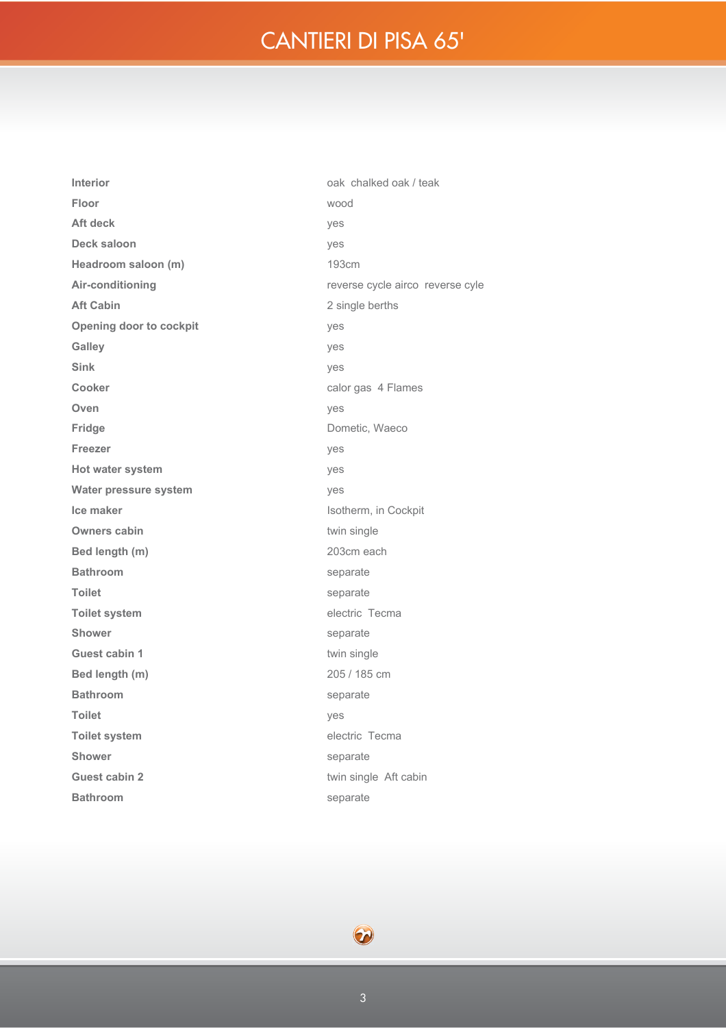**Interior oak chalked oak / teak Floor wood Aft deck yes Deck saloon yes Headroom saloon (m) 193cm Air-conditioning reverse cycle airco reverse cyle Aft Cabin 2 single berths Opening door to cockpit yes Galley yes Sink yes Cooker calor gas 4 Flames Oven yes Fridge Dometic, Waeco Freezer yes Hot water system yes Water pressure system yes Ice maker Isotherm, in Cockpit Owners cabin twin** single **Bed length (m) 203cm each Bathroom Separate Toilet separate Toilet system electric Tecma Shower separate Guest cabin 1 twin single Bed length (m) 205 / 185 cm Bathroom Separate Toilet yes Toilet system electric Tecma Shower separate Guest cabin 2 twin single Aft cabin Bathroom Separate Separate Separate** 



**3**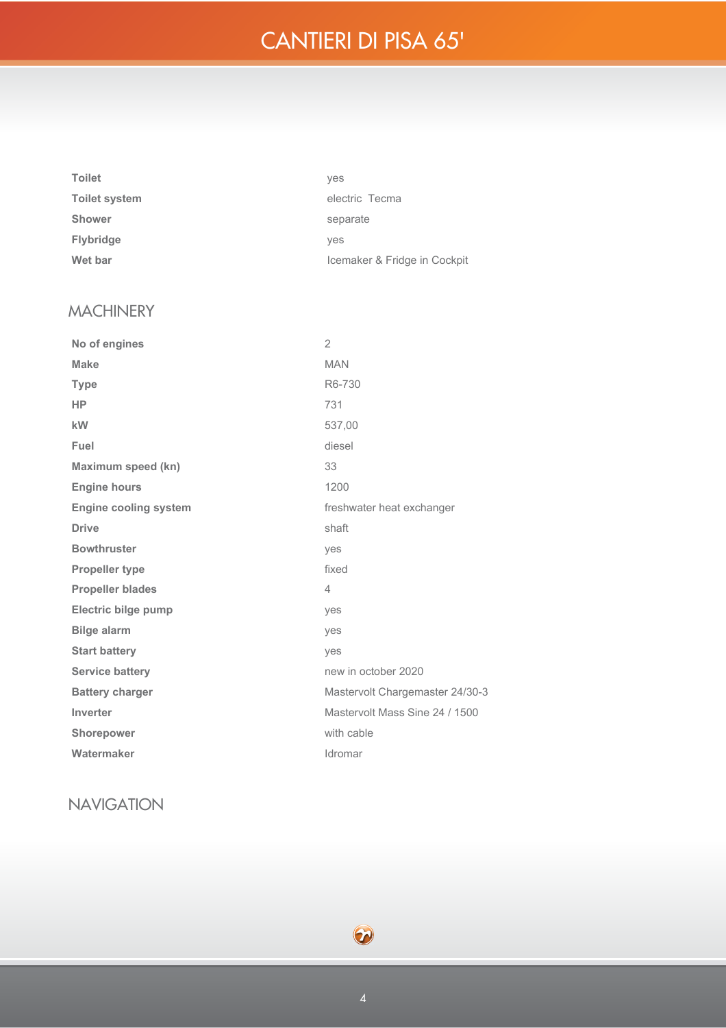| <b>Toilet</b>        | <b>ves</b>                   |
|----------------------|------------------------------|
| <b>Toilet system</b> | electric Tecma               |
| <b>Shower</b>        | separate                     |
| <b>Flybridge</b>     | yes                          |
| Wet bar              | Icemaker & Fridge in Cockpit |

### **MACHINERY**

| No of engines                | $\overline{2}$                  |
|------------------------------|---------------------------------|
| <b>Make</b>                  | <b>MAN</b>                      |
| <b>Type</b>                  | R6-730                          |
| <b>HP</b>                    | 731                             |
| kW                           | 537,00                          |
| Fuel                         | diesel                          |
| Maximum speed (kn)           | 33                              |
| <b>Engine hours</b>          | 1200                            |
| <b>Engine cooling system</b> | freshwater heat exchanger       |
| <b>Drive</b>                 | shaft                           |
| <b>Bowthruster</b>           | yes                             |
| <b>Propeller type</b>        | fixed                           |
| <b>Propeller blades</b>      | 4                               |
| <b>Electric bilge pump</b>   | yes                             |
| <b>Bilge alarm</b>           | yes                             |
| <b>Start battery</b>         | yes                             |
| <b>Service battery</b>       | new in october 2020             |
| <b>Battery charger</b>       | Mastervolt Chargemaster 24/30-3 |
| Inverter                     | Mastervolt Mass Sine 24 / 1500  |
| Shorepower                   | with cable                      |
| Watermaker                   | Idromar                         |

### **NAVIGATION**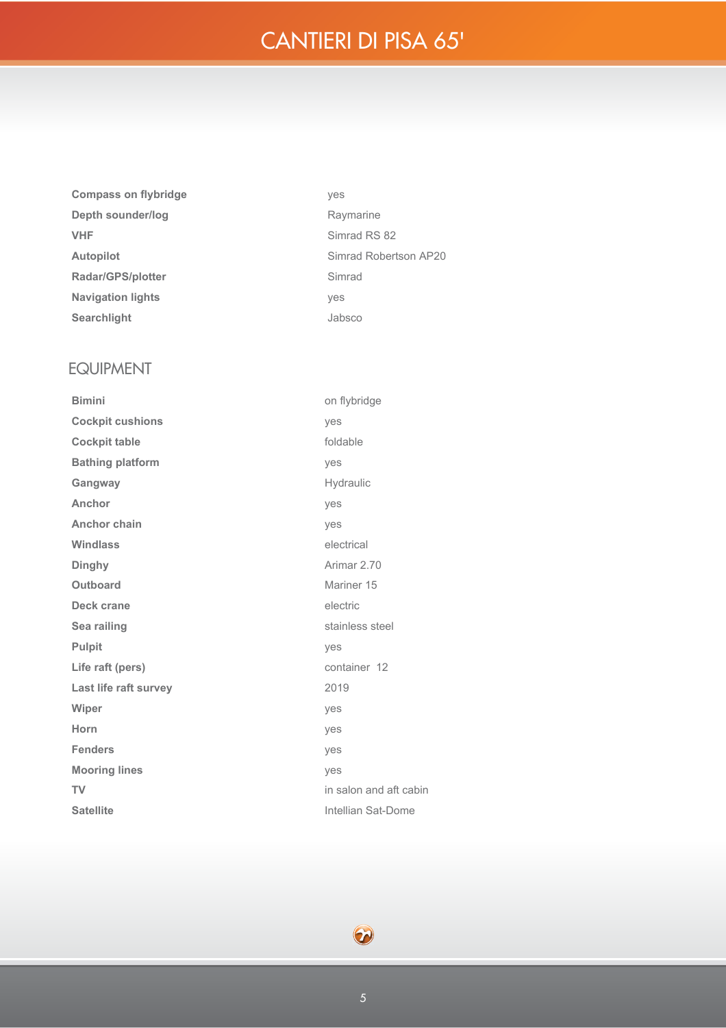| <b>Compass on flybridge</b> | yes                   |
|-----------------------------|-----------------------|
| Depth sounder/log           | Raymarine             |
| <b>VHF</b>                  | Simrad RS 82          |
| <b>Autopilot</b>            | Simrad Robertson AP20 |
| Radar/GPS/plotter           | Simrad                |
| <b>Navigation lights</b>    | yes                   |
| <b>Searchlight</b>          | Jabsco                |

### **EQUIPMENT**

| <b>Bimini</b>           | on flybridge           |
|-------------------------|------------------------|
| <b>Cockpit cushions</b> | yes                    |
| <b>Cockpit table</b>    | foldable               |
| <b>Bathing platform</b> | yes                    |
| Gangway                 | Hydraulic              |
| Anchor                  | yes                    |
| Anchor chain            | yes                    |
| <b>Windlass</b>         | electrical             |
| <b>Dinghy</b>           | Arimar 2.70            |
| Outboard                | Mariner 15             |
| Deck crane              | electric               |
| Sea railing             | stainless steel        |
| <b>Pulpit</b>           | yes                    |
| Life raft (pers)        | container 12           |
| Last life raft survey   | 2019                   |
| Wiper                   | yes                    |
| Horn                    | yes                    |
| <b>Fenders</b>          | yes                    |
| <b>Mooring lines</b>    | yes                    |
| TV                      | in salon and aft cabin |
| <b>Satellite</b>        | Intellian Sat-Dome     |

 $\bigodot$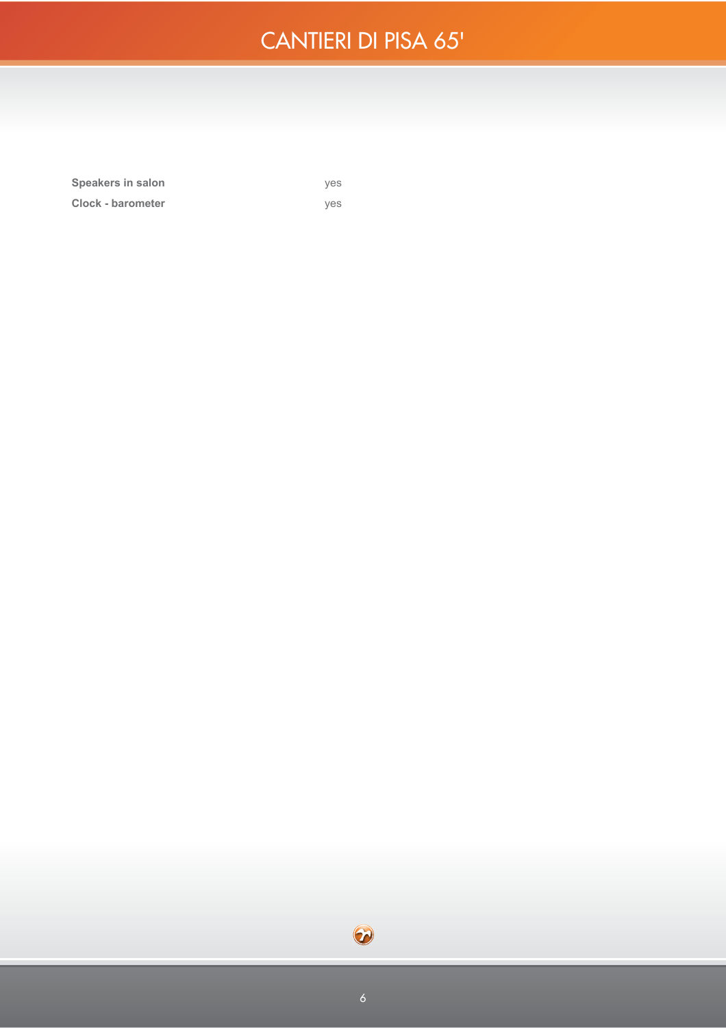**Speakers in salon yes Clock - barometer yes**

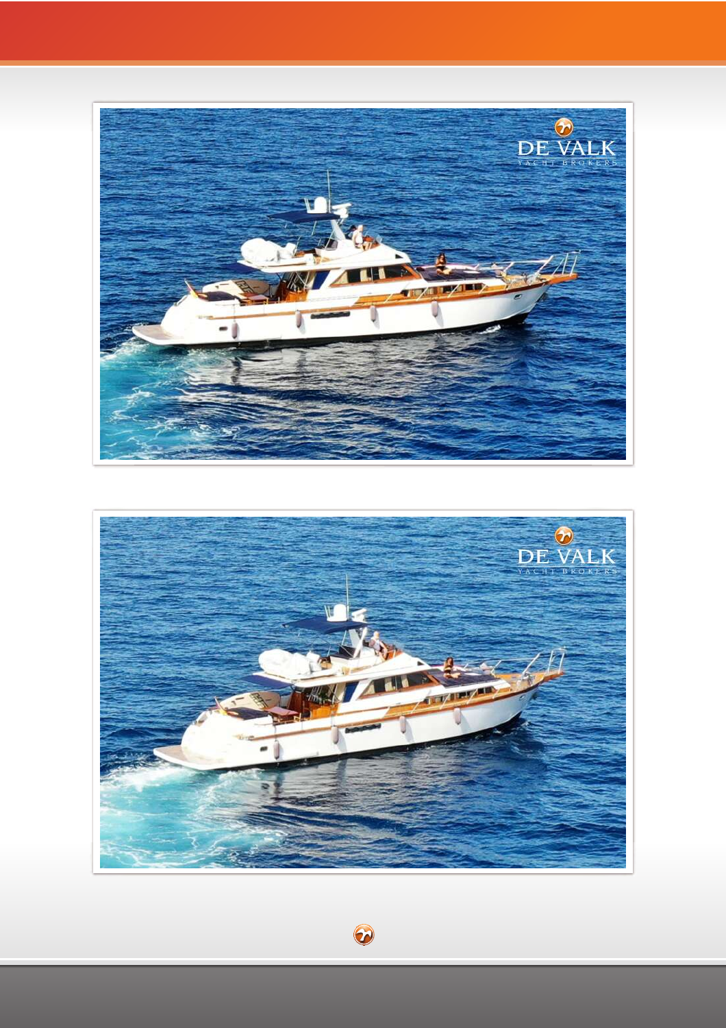# 8 \$ 1 7 , (5, ', 3, 6 \$



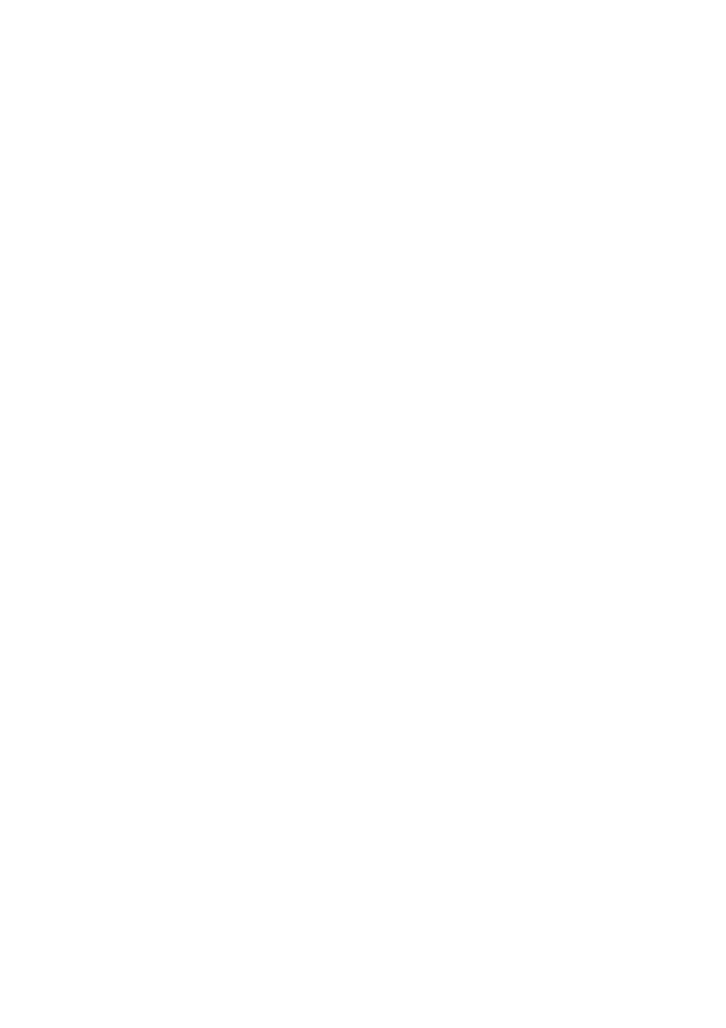| ---- |  |
|------|--|
|      |  |
|      |  |
|      |  |
|      |  |
|      |  |
|      |  |
|      |  |
|      |  |
|      |  |
|      |  |
|      |  |
|      |  |
|      |  |
|      |  |
|      |  |
|      |  |
|      |  |
|      |  |
|      |  |
|      |  |
|      |  |
|      |  |
|      |  |
|      |  |
|      |  |
|      |  |
|      |  |
|      |  |
|      |  |
|      |  |
|      |  |
|      |  |
|      |  |
|      |  |
|      |  |
|      |  |
|      |  |
|      |  |
|      |  |
|      |  |
|      |  |
|      |  |
|      |  |
|      |  |
|      |  |
|      |  |
|      |  |
|      |  |
|      |  |
|      |  |
|      |  |
|      |  |
|      |  |
|      |  |
|      |  |
|      |  |
|      |  |
|      |  |

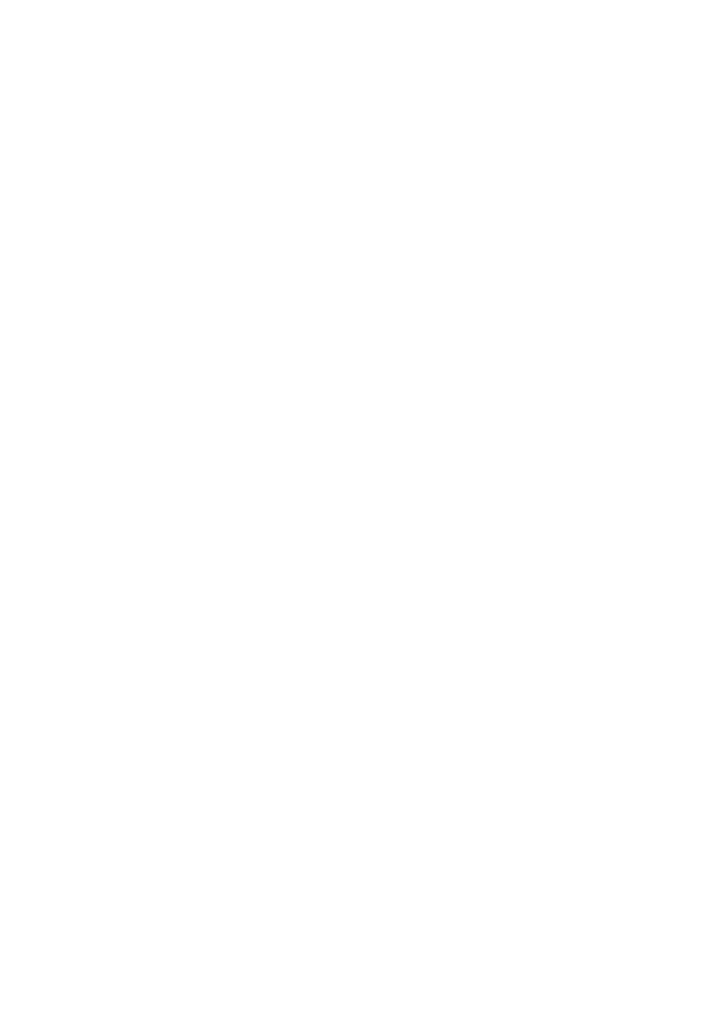| ---- |  |
|------|--|
|      |  |
|      |  |
|      |  |
|      |  |
|      |  |
|      |  |
|      |  |
|      |  |
|      |  |
|      |  |
|      |  |
|      |  |
|      |  |
|      |  |
|      |  |
|      |  |
|      |  |
|      |  |
|      |  |
|      |  |
|      |  |
|      |  |
|      |  |
|      |  |
|      |  |
|      |  |
|      |  |
|      |  |
|      |  |
|      |  |
|      |  |
|      |  |
|      |  |
|      |  |
|      |  |
|      |  |
|      |  |
|      |  |
|      |  |
|      |  |
|      |  |
|      |  |
|      |  |
|      |  |
|      |  |
|      |  |
|      |  |
|      |  |
|      |  |
|      |  |
|      |  |
|      |  |
|      |  |
|      |  |
|      |  |
|      |  |
|      |  |
|      |  |

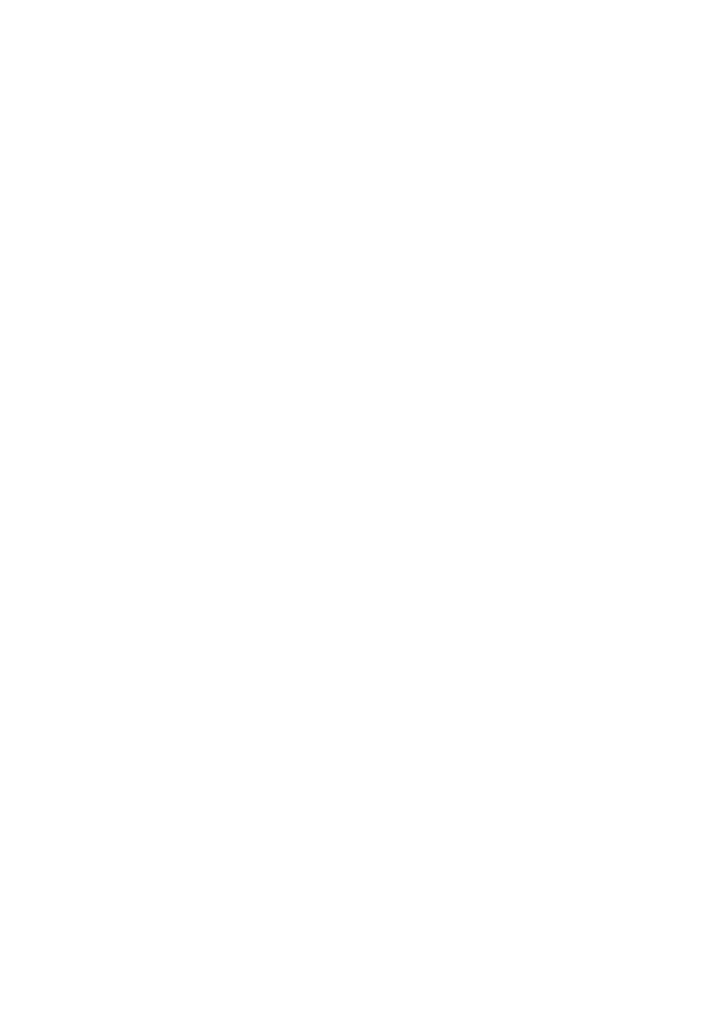| ---- |  |
|------|--|
|      |  |
|      |  |
|      |  |
|      |  |
|      |  |
|      |  |
|      |  |
|      |  |
|      |  |
|      |  |
|      |  |
|      |  |
|      |  |
|      |  |
|      |  |
|      |  |
|      |  |
|      |  |
|      |  |
|      |  |
|      |  |
|      |  |
|      |  |
|      |  |
|      |  |
|      |  |
|      |  |
|      |  |
|      |  |
|      |  |
|      |  |
|      |  |
|      |  |
|      |  |
|      |  |
|      |  |
|      |  |
|      |  |
|      |  |
|      |  |
|      |  |
|      |  |
|      |  |
|      |  |
|      |  |
|      |  |
|      |  |
|      |  |
|      |  |
|      |  |
|      |  |
|      |  |
|      |  |
|      |  |
|      |  |
|      |  |
|      |  |
|      |  |

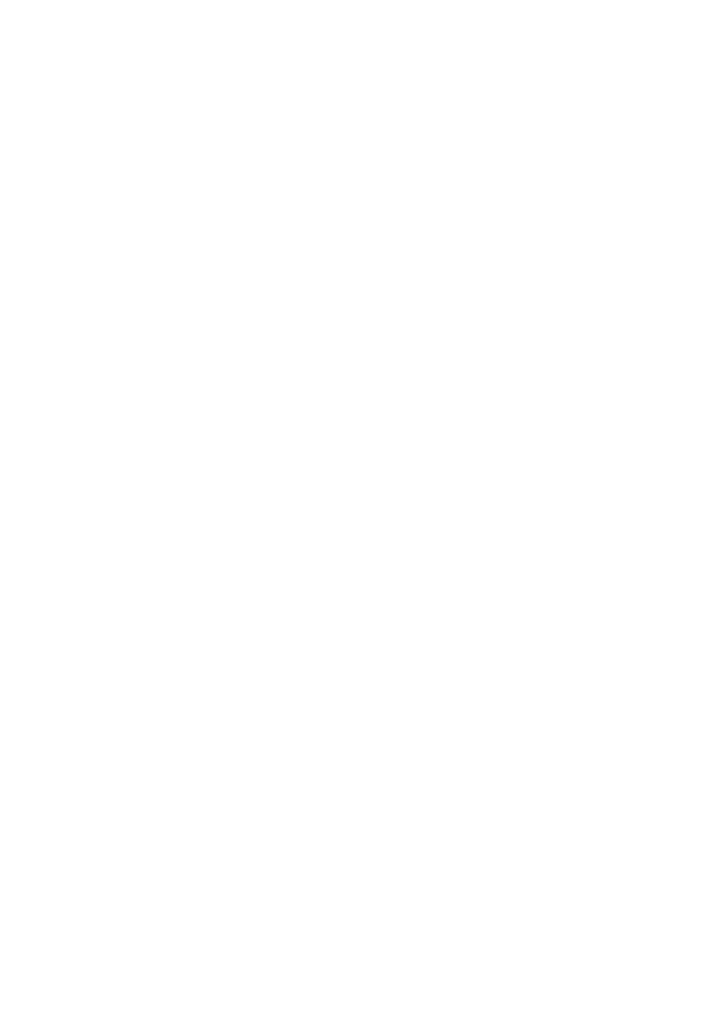| ---- |  |
|------|--|
|      |  |
|      |  |
|      |  |
|      |  |
|      |  |
|      |  |
|      |  |
|      |  |
|      |  |
|      |  |
|      |  |
|      |  |
|      |  |
|      |  |
|      |  |
|      |  |
|      |  |
|      |  |
|      |  |
|      |  |
|      |  |
|      |  |
|      |  |
|      |  |
|      |  |
|      |  |
|      |  |
|      |  |
|      |  |
|      |  |
|      |  |
|      |  |
|      |  |
|      |  |
|      |  |
|      |  |
|      |  |
|      |  |
|      |  |
|      |  |
|      |  |
|      |  |
|      |  |
|      |  |
|      |  |
|      |  |
|      |  |
|      |  |
|      |  |
|      |  |
|      |  |
|      |  |
|      |  |
|      |  |
|      |  |
|      |  |
|      |  |
|      |  |

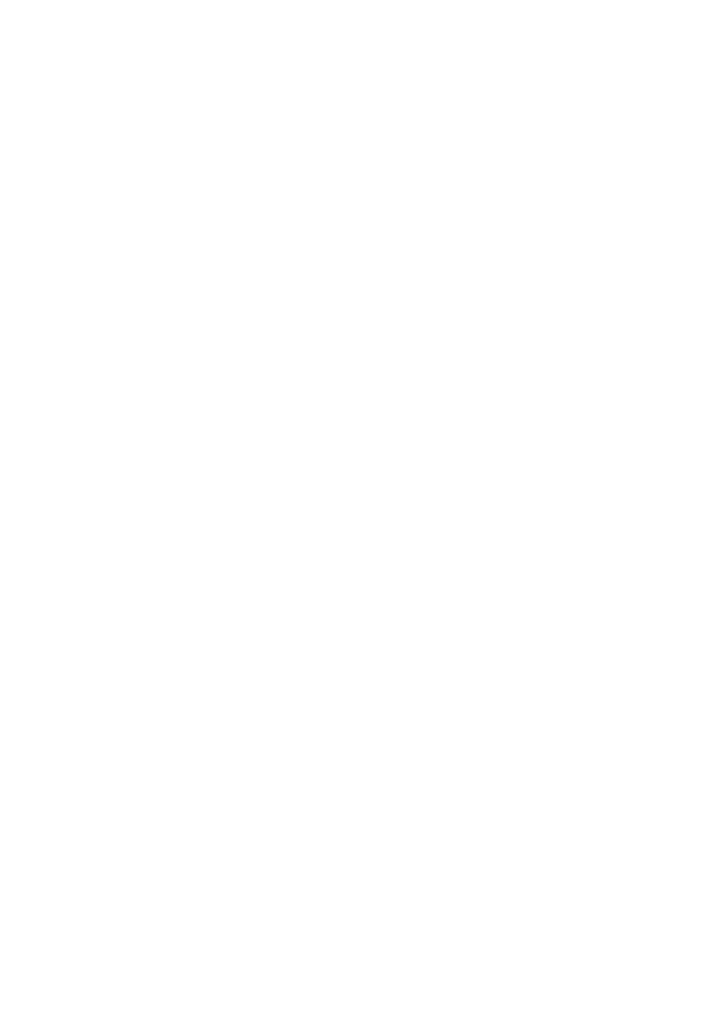| ---- |  |
|------|--|
|      |  |
|      |  |
|      |  |
|      |  |
|      |  |
|      |  |
|      |  |
|      |  |
|      |  |
|      |  |
|      |  |
|      |  |
|      |  |
|      |  |
|      |  |
|      |  |
|      |  |
|      |  |
|      |  |
|      |  |
|      |  |
|      |  |
|      |  |
|      |  |
|      |  |
|      |  |
|      |  |
|      |  |
|      |  |
|      |  |
|      |  |
|      |  |
|      |  |
|      |  |
|      |  |
|      |  |
|      |  |
|      |  |
|      |  |
|      |  |
|      |  |
|      |  |
|      |  |
|      |  |
|      |  |
|      |  |
|      |  |
|      |  |
|      |  |
|      |  |
|      |  |
|      |  |
|      |  |
|      |  |
|      |  |
|      |  |
|      |  |
|      |  |

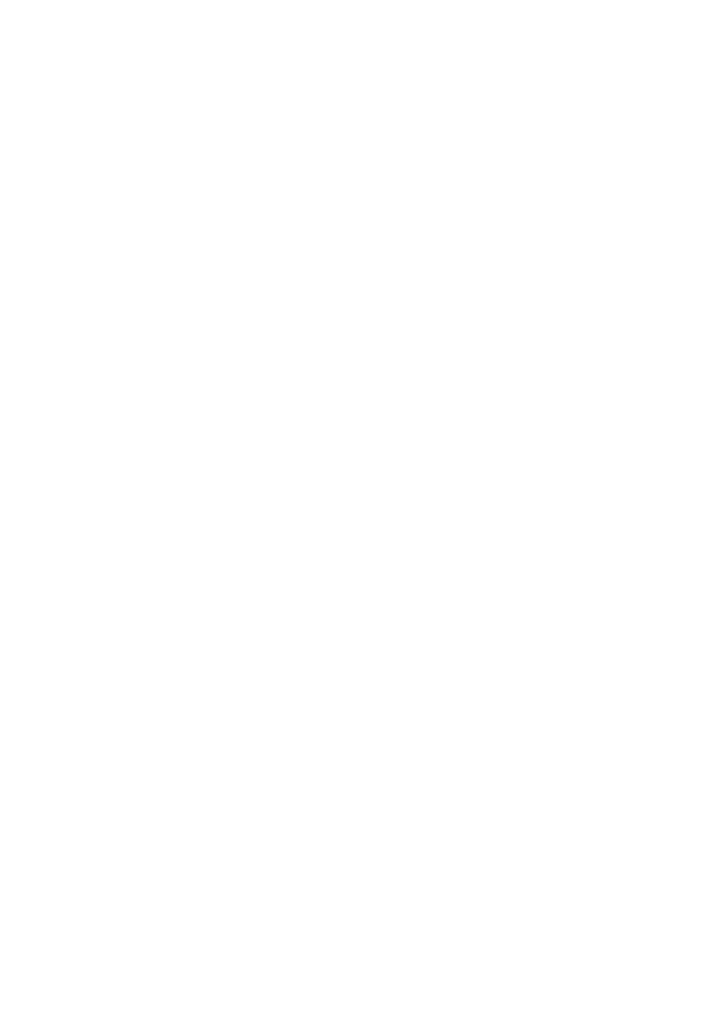| ---- |  |
|------|--|
|      |  |
|      |  |
|      |  |
|      |  |
|      |  |
|      |  |
|      |  |
|      |  |
|      |  |
|      |  |
|      |  |
|      |  |
|      |  |
|      |  |
|      |  |
|      |  |
|      |  |
|      |  |
|      |  |
|      |  |
|      |  |
|      |  |
|      |  |
|      |  |
|      |  |
|      |  |
|      |  |
|      |  |
|      |  |
|      |  |
|      |  |
|      |  |
|      |  |
|      |  |
|      |  |
|      |  |
|      |  |
|      |  |
|      |  |
|      |  |
|      |  |
|      |  |
|      |  |
|      |  |
|      |  |
|      |  |
|      |  |
|      |  |
|      |  |
|      |  |
|      |  |
|      |  |
|      |  |
|      |  |
|      |  |
|      |  |
|      |  |
|      |  |

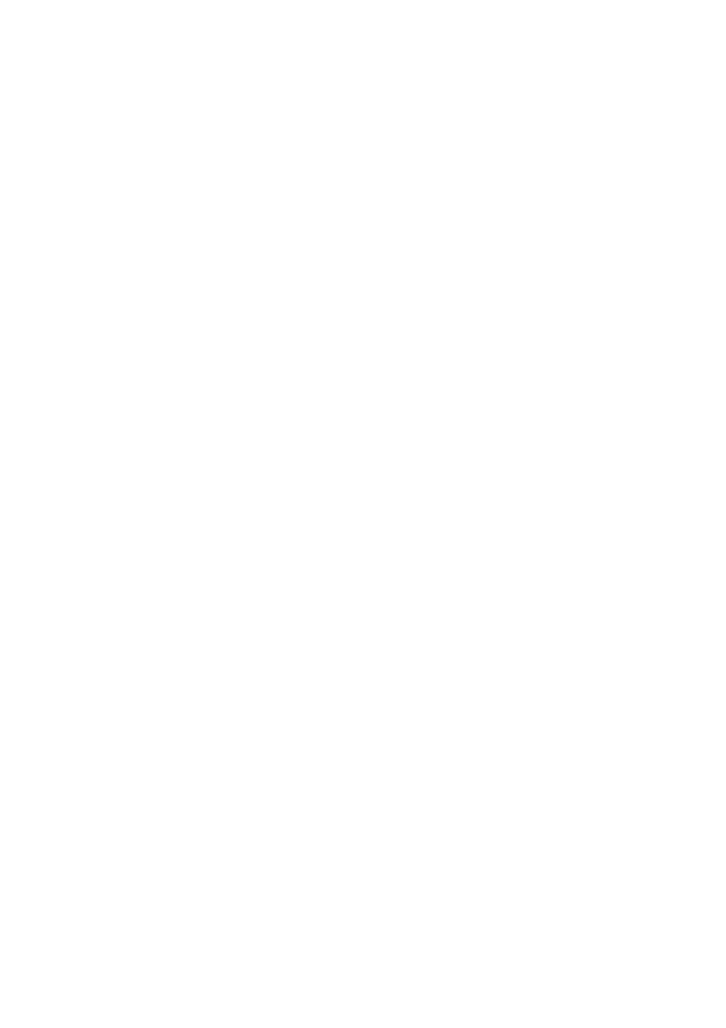| ---- |  |
|------|--|
|      |  |
|      |  |
|      |  |
|      |  |
|      |  |
|      |  |
|      |  |
|      |  |
|      |  |
|      |  |
|      |  |
|      |  |
|      |  |
|      |  |
|      |  |
|      |  |
|      |  |
|      |  |
|      |  |
|      |  |
|      |  |
|      |  |
|      |  |
|      |  |
|      |  |
|      |  |
|      |  |
|      |  |
|      |  |
|      |  |
|      |  |
|      |  |
|      |  |
|      |  |
|      |  |
|      |  |
|      |  |
|      |  |
|      |  |
|      |  |
|      |  |
|      |  |
|      |  |
|      |  |
|      |  |
|      |  |
|      |  |
|      |  |
|      |  |
|      |  |
|      |  |
|      |  |
|      |  |
|      |  |
|      |  |
|      |  |
|      |  |
|      |  |

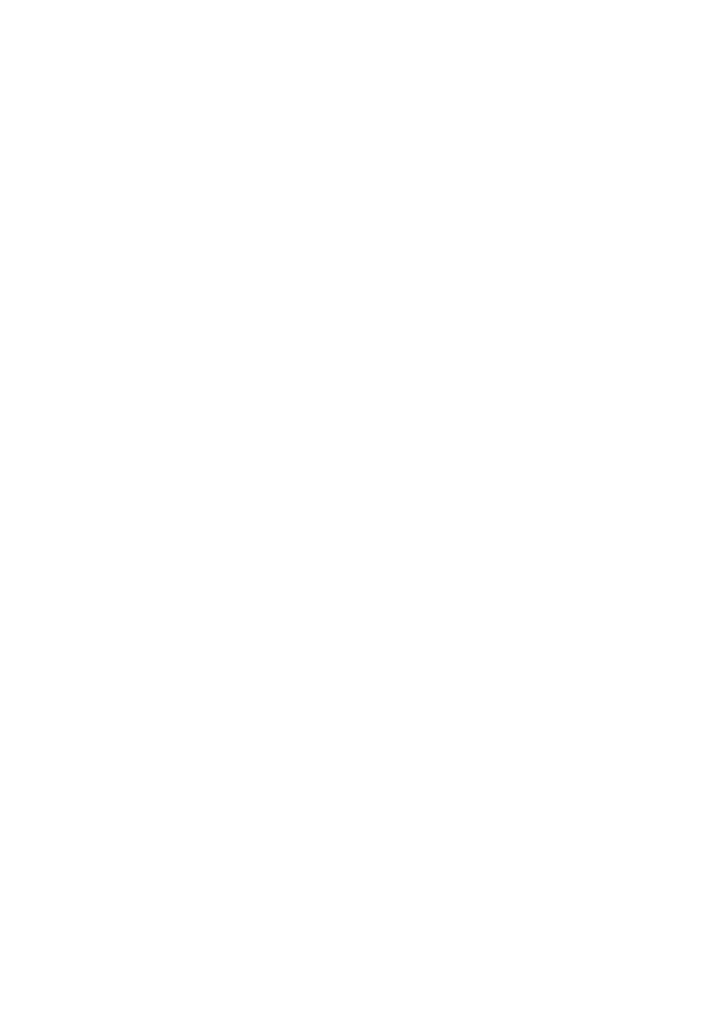| ---- |  |
|------|--|
|      |  |
|      |  |
|      |  |
|      |  |
|      |  |
|      |  |
|      |  |
|      |  |
|      |  |
|      |  |
|      |  |
|      |  |
|      |  |
|      |  |
|      |  |
|      |  |
|      |  |
|      |  |
|      |  |
|      |  |
|      |  |
|      |  |
|      |  |
|      |  |
|      |  |
|      |  |
|      |  |
|      |  |
|      |  |
|      |  |
|      |  |
|      |  |
|      |  |
|      |  |
|      |  |
|      |  |
|      |  |
|      |  |
|      |  |
|      |  |
|      |  |
|      |  |
|      |  |
|      |  |
|      |  |
|      |  |
|      |  |
|      |  |
|      |  |
|      |  |
|      |  |
|      |  |
|      |  |
|      |  |
|      |  |
|      |  |
|      |  |
|      |  |

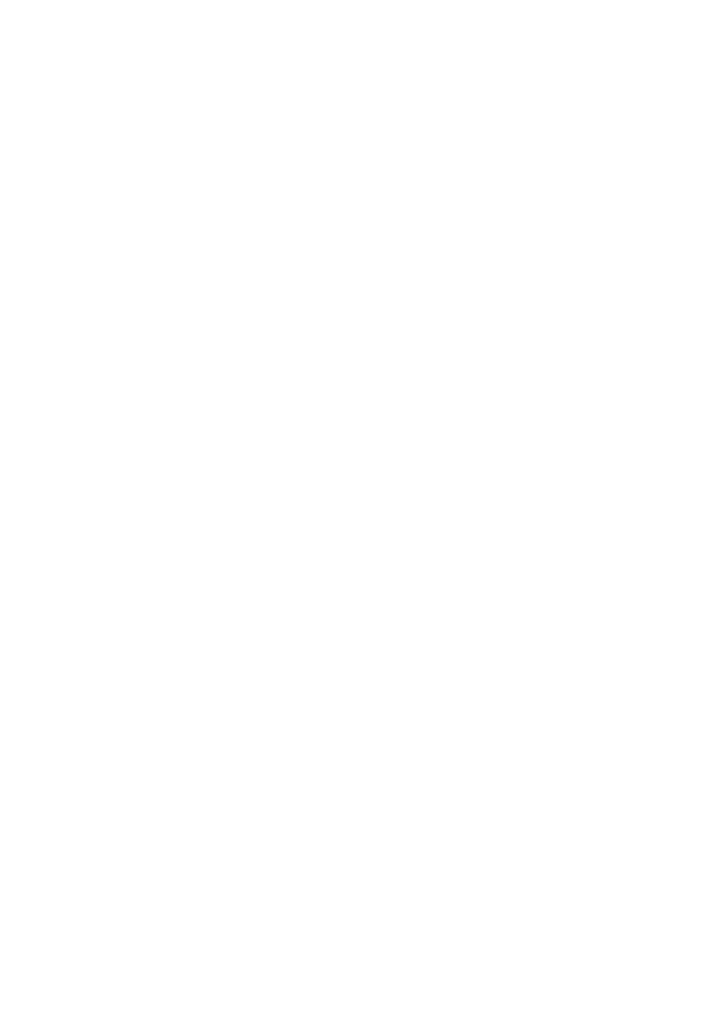| ---- |  |
|------|--|
|      |  |
|      |  |
|      |  |
|      |  |
|      |  |
|      |  |
|      |  |
|      |  |
|      |  |
|      |  |
|      |  |
|      |  |
|      |  |
|      |  |
|      |  |
|      |  |
|      |  |
|      |  |
|      |  |
|      |  |
|      |  |
|      |  |
|      |  |
|      |  |
|      |  |
|      |  |
|      |  |
|      |  |
|      |  |
|      |  |
|      |  |
|      |  |
|      |  |
|      |  |
|      |  |
|      |  |
|      |  |
|      |  |
|      |  |
|      |  |
|      |  |
|      |  |
|      |  |
|      |  |
|      |  |
|      |  |
|      |  |
|      |  |
|      |  |
|      |  |
|      |  |
|      |  |
|      |  |
|      |  |
|      |  |
|      |  |
|      |  |
|      |  |

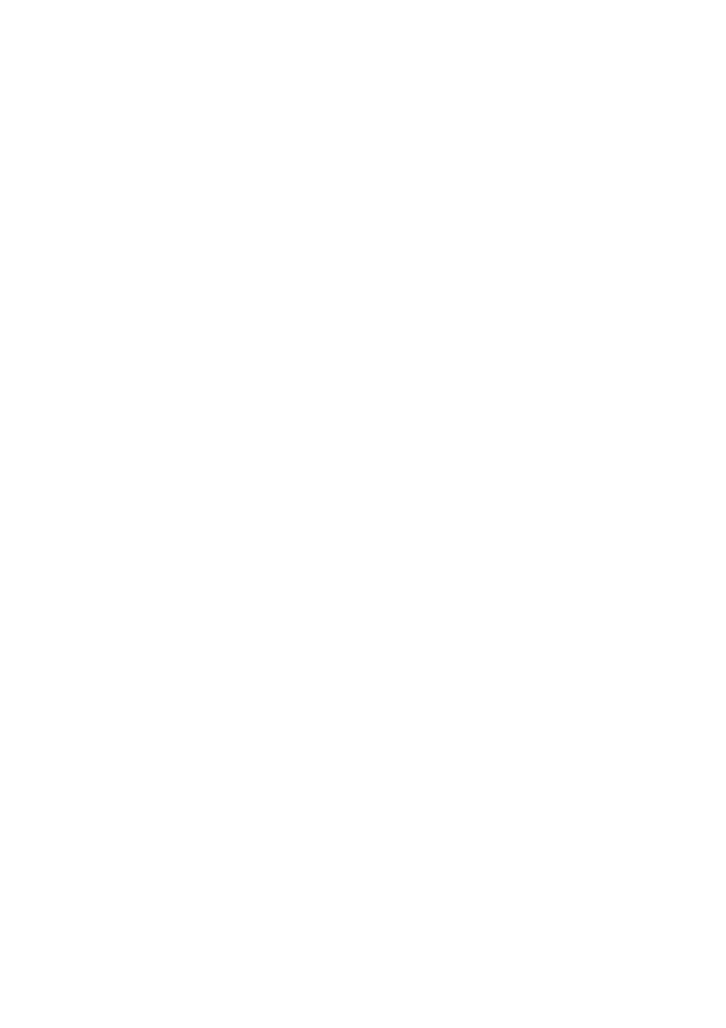| ---- |  |
|------|--|
|      |  |
|      |  |
|      |  |
|      |  |
|      |  |
|      |  |
|      |  |
|      |  |
|      |  |
|      |  |
|      |  |
|      |  |
|      |  |
|      |  |
|      |  |
|      |  |
|      |  |
|      |  |
|      |  |
|      |  |
|      |  |
|      |  |
|      |  |
|      |  |
|      |  |
|      |  |
|      |  |
|      |  |
|      |  |
|      |  |
|      |  |
|      |  |
|      |  |
|      |  |
|      |  |
|      |  |
|      |  |
|      |  |
|      |  |
|      |  |
|      |  |
|      |  |
|      |  |
|      |  |
|      |  |
|      |  |
|      |  |
|      |  |
|      |  |
|      |  |
|      |  |
|      |  |
|      |  |
|      |  |
|      |  |
|      |  |
|      |  |
|      |  |

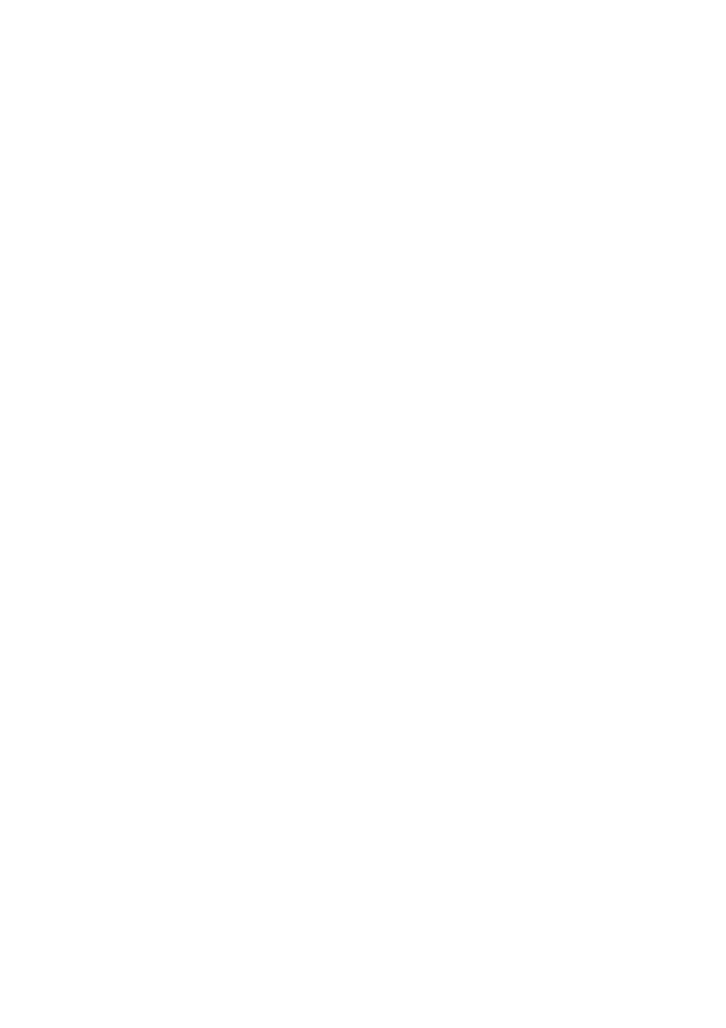| ---- |  |
|------|--|
|      |  |
|      |  |
|      |  |
|      |  |
|      |  |
|      |  |
|      |  |
|      |  |
|      |  |
|      |  |
|      |  |
|      |  |
|      |  |
|      |  |
|      |  |
|      |  |
|      |  |
|      |  |
|      |  |
|      |  |
|      |  |
|      |  |
|      |  |
|      |  |
|      |  |
|      |  |
|      |  |
|      |  |
|      |  |
|      |  |
|      |  |
|      |  |
|      |  |
|      |  |
|      |  |
|      |  |
|      |  |
|      |  |
|      |  |
|      |  |
|      |  |
|      |  |
|      |  |
|      |  |
|      |  |
|      |  |
|      |  |
|      |  |
|      |  |
|      |  |
|      |  |
|      |  |
|      |  |
|      |  |
|      |  |
|      |  |
|      |  |
|      |  |

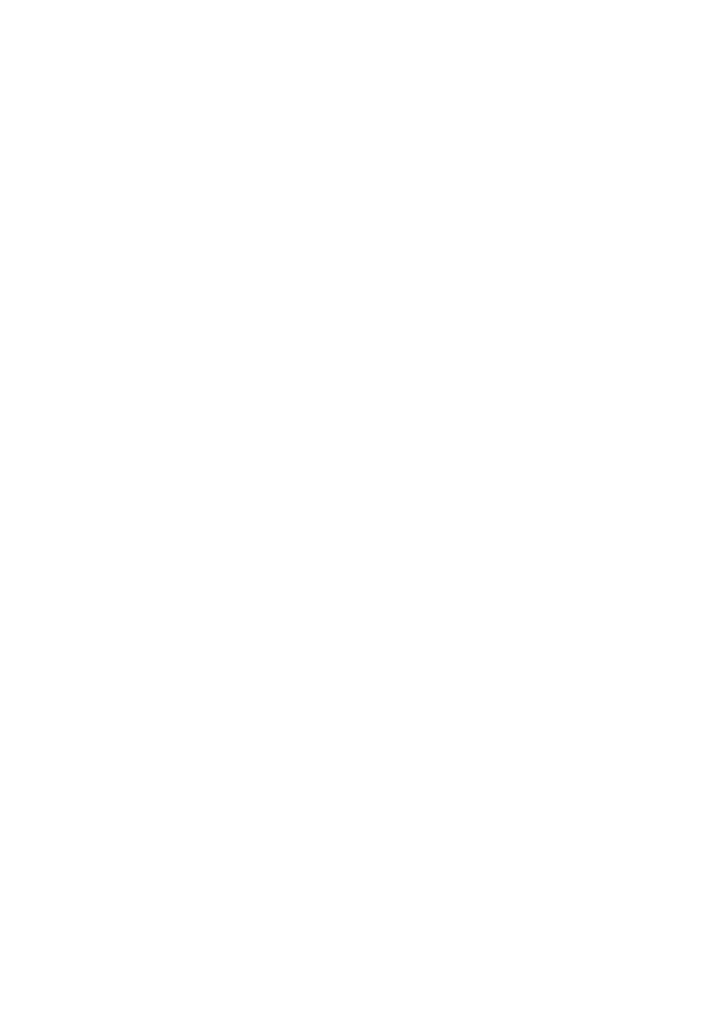| ---- |  |
|------|--|
|      |  |
|      |  |
|      |  |
|      |  |
|      |  |
|      |  |
|      |  |
|      |  |
|      |  |
|      |  |
|      |  |
|      |  |
|      |  |
|      |  |
|      |  |
|      |  |
|      |  |
|      |  |
|      |  |
|      |  |
|      |  |
|      |  |
|      |  |
|      |  |
|      |  |
|      |  |
|      |  |
|      |  |
|      |  |
|      |  |
|      |  |
|      |  |
|      |  |
|      |  |
|      |  |
|      |  |
|      |  |
|      |  |
|      |  |
|      |  |
|      |  |
|      |  |
|      |  |
|      |  |
|      |  |
|      |  |
|      |  |
|      |  |
|      |  |
|      |  |
|      |  |
|      |  |
|      |  |
|      |  |
|      |  |
|      |  |
|      |  |
|      |  |

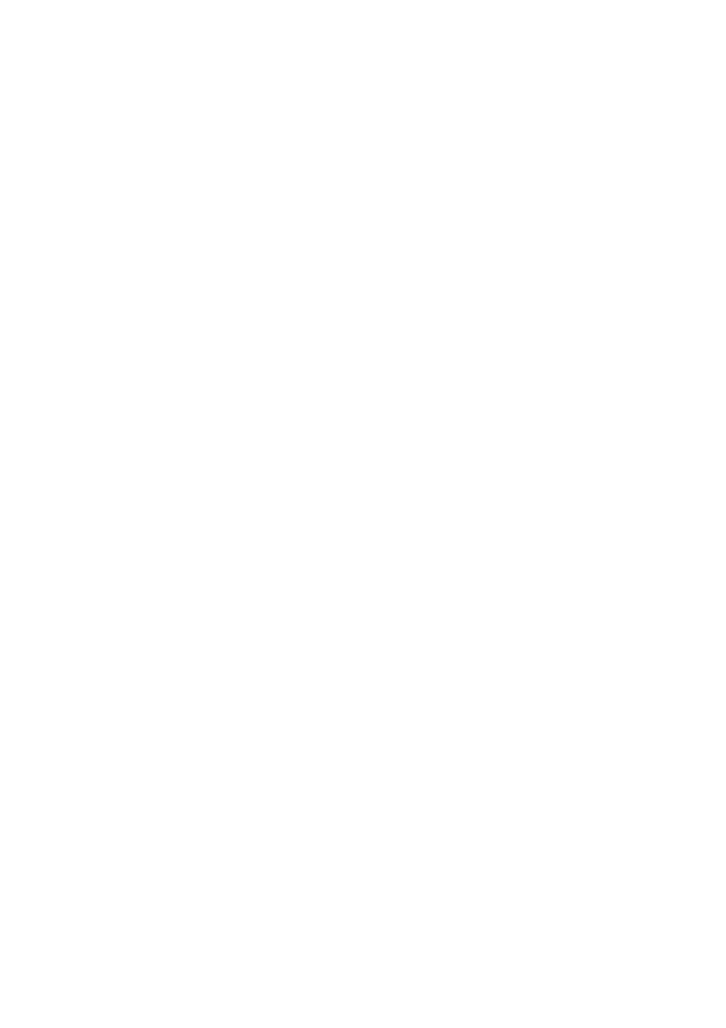| ---- |  |
|------|--|
|      |  |
|      |  |
|      |  |
|      |  |
|      |  |
|      |  |
|      |  |
|      |  |
|      |  |
|      |  |
|      |  |
|      |  |
|      |  |
|      |  |
|      |  |
|      |  |
|      |  |
|      |  |
|      |  |
|      |  |
|      |  |
|      |  |
|      |  |
|      |  |
|      |  |
|      |  |
|      |  |
|      |  |
|      |  |
|      |  |
|      |  |
|      |  |
|      |  |
|      |  |
|      |  |
|      |  |
|      |  |
|      |  |
|      |  |
|      |  |
|      |  |
|      |  |
|      |  |
|      |  |
|      |  |
|      |  |
|      |  |
|      |  |
|      |  |
|      |  |
|      |  |
|      |  |
|      |  |
|      |  |
|      |  |
|      |  |
|      |  |
|      |  |

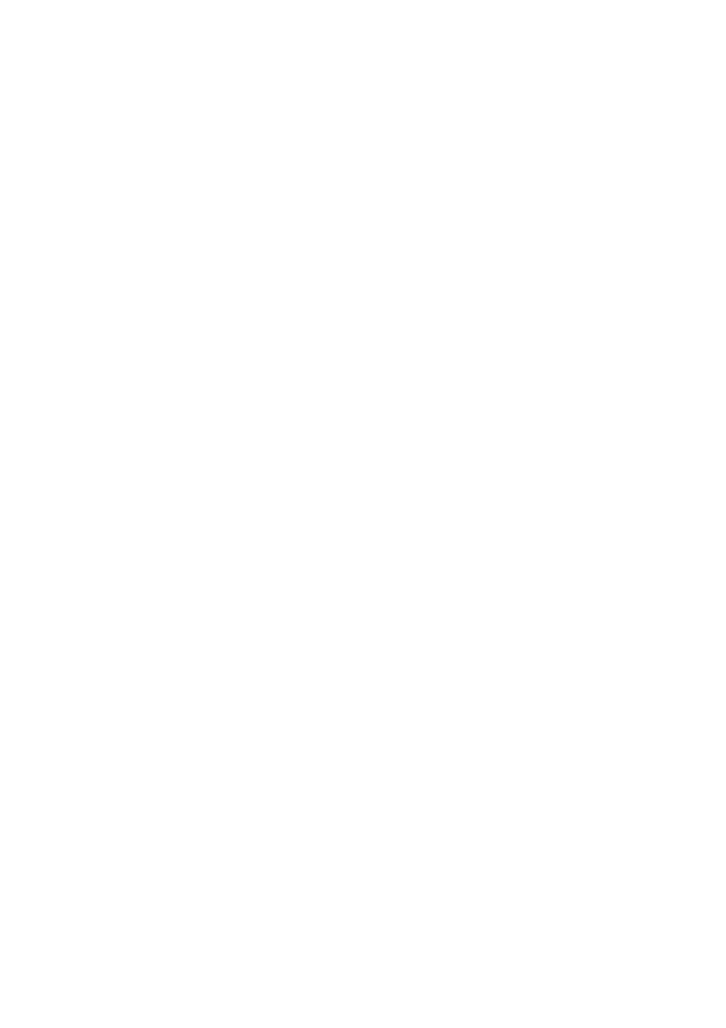| ---- |  |
|------|--|
|      |  |
|      |  |
|      |  |
|      |  |
|      |  |
|      |  |
|      |  |
|      |  |
|      |  |
|      |  |
|      |  |
|      |  |
|      |  |
|      |  |
|      |  |
|      |  |
|      |  |
|      |  |
|      |  |
|      |  |
|      |  |
|      |  |
|      |  |
|      |  |
|      |  |
|      |  |
|      |  |
|      |  |
|      |  |
|      |  |
|      |  |
|      |  |
|      |  |
|      |  |
|      |  |
|      |  |
|      |  |
|      |  |
|      |  |
|      |  |
|      |  |
|      |  |
|      |  |
|      |  |
|      |  |
|      |  |
|      |  |
|      |  |
|      |  |
|      |  |
|      |  |
|      |  |
|      |  |
|      |  |
|      |  |
|      |  |
|      |  |
|      |  |

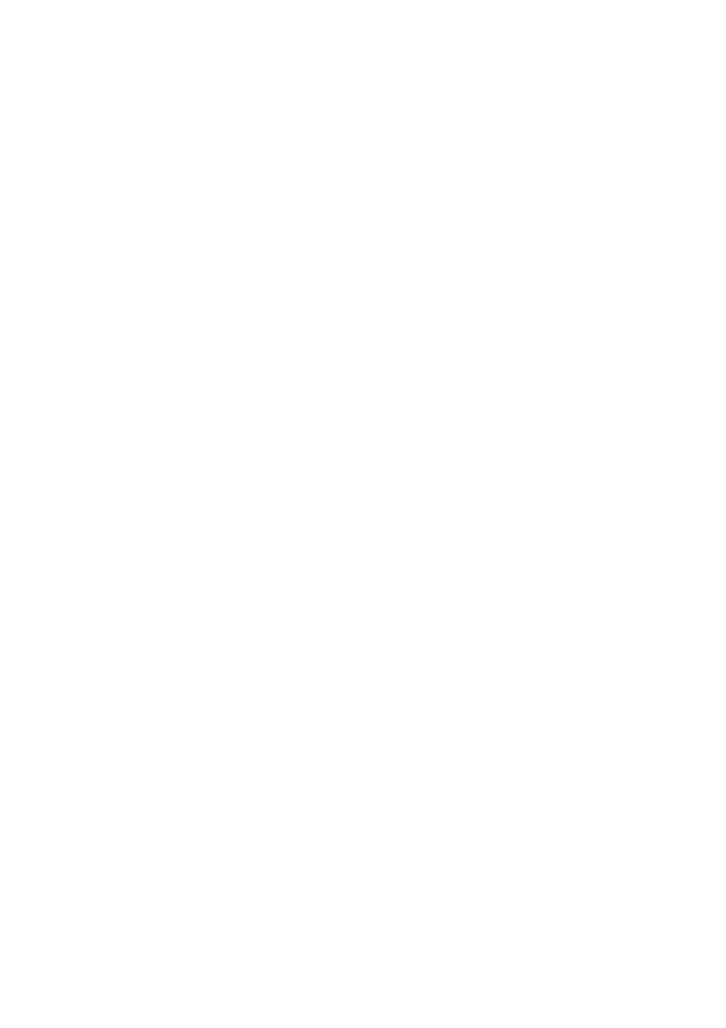| ---- |  |
|------|--|
|      |  |
|      |  |
|      |  |
|      |  |
|      |  |
|      |  |
|      |  |
|      |  |
|      |  |
|      |  |
|      |  |
|      |  |
|      |  |
|      |  |
|      |  |
|      |  |
|      |  |
|      |  |
|      |  |
|      |  |
|      |  |
|      |  |
|      |  |
|      |  |
|      |  |
|      |  |
|      |  |
|      |  |
|      |  |
|      |  |
|      |  |
|      |  |
|      |  |
|      |  |
|      |  |
|      |  |
|      |  |
|      |  |
|      |  |
|      |  |
|      |  |
|      |  |
|      |  |
|      |  |
|      |  |
|      |  |
|      |  |
|      |  |
|      |  |
|      |  |
|      |  |
|      |  |
|      |  |
|      |  |
|      |  |
|      |  |
|      |  |
|      |  |